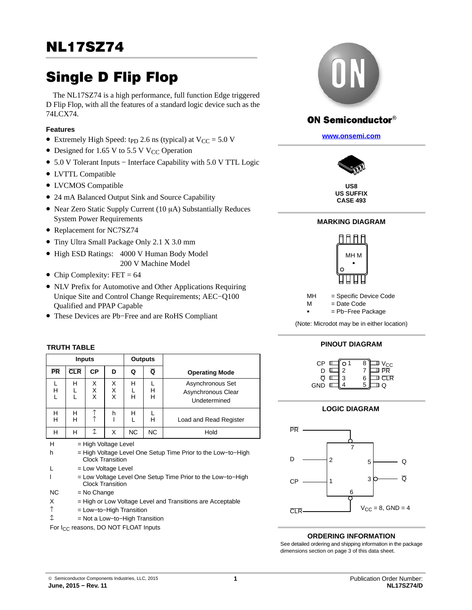The NL17SZ74 is a high performance, full function Edge triggered D Flip Flop, with all the features of a standard logic device such as the 74LCX74.

#### **Features**

- Extremely High Speed: t<sub>PD</sub> 2.6 ns (typical) at  $V_{CC} = 5.0 V$
- Designed for 1.65 V to 5.5 V V<sub>CC</sub> Operation
- 5.0 V Tolerant Inputs − Interface Capability with 5.0 V TTL Logic
- LVTTL Compatible
- LVCMOS Compatible
- 24 mA Balanced Output Sink and Source Capability
- Near Zero Static Supply Current (10 µA) Substantially Reduces System Power Requirements
- Replacement for NC7SZ74
- Tiny Ultra Small Package Only 2.1 X 3.0 mm
- High ESD Ratings: 4000 V Human Body Model 200 V Machine Model
- Chip Complexity:  $FET = 64$
- NLV Prefix for Automotive and Other Applications Requiring Unique Site and Control Change Requirements; AEC−Q100 Qualified and PPAP Capable
- These Devices are Pb−Free and are RoHS Compliant

## **TRUTH TABLE**

|             | <b>Inputs</b>                                                                          |             |                                                 |                | <b>Outputs</b> |                                                              |  |  |  |  |  |
|-------------|----------------------------------------------------------------------------------------|-------------|-------------------------------------------------|----------------|----------------|--------------------------------------------------------------|--|--|--|--|--|
| <b>PR</b>   | <b>CLR</b>                                                                             | СP          | D                                               | Q              | Q              | <b>Operating Mode</b>                                        |  |  |  |  |  |
| L<br>Н<br>L | н<br>L<br>L                                                                            | X<br>Х<br>X | X<br>х<br>X                                     | н<br>L<br>н    | L<br>н<br>н    | Asynchronous Set<br>Asynchronous Clear<br>Undetermined       |  |  |  |  |  |
| н<br>н      | н<br>н                                                                                 | $\uparrow$  | h                                               | н<br>L         | L<br>н         | Load and Read Register                                       |  |  |  |  |  |
| н           | н                                                                                      | ↥           | X                                               | N <sub>C</sub> | <b>NC</b>      | Hold                                                         |  |  |  |  |  |
| н<br>h      |                                                                                        |             | = High Voltage Level<br><b>Clock Transition</b> |                |                | = High Voltage Level One Setup Time Prior to the Low-to-High |  |  |  |  |  |
|             |                                                                                        |             | = Low Voltage Level                             |                |                |                                                              |  |  |  |  |  |
|             | = Low Voltage Level One Setup Time Prior to the Low-to-High<br><b>Clock Transition</b> |             |                                                 |                |                |                                                              |  |  |  |  |  |
| <b>NC</b>   | $=$ No Change                                                                          |             |                                                 |                |                |                                                              |  |  |  |  |  |
| Х           | = High or Low Voltage Level and Transitions are Acceptable                             |             |                                                 |                |                |                                                              |  |  |  |  |  |
| ↑           | $=$ Low-to-High Transition                                                             |             |                                                 |                |                |                                                              |  |  |  |  |  |
| ↥           | $=$ Not a Low-to-High Transition                                                       |             |                                                 |                |                |                                                              |  |  |  |  |  |

For I<sub>CC</sub> reasons, DO NOT FLOAT Inputs



# **ON Semiconductor®**

**[www.onsemi.com]( http://www.onsemi.com/)**



**US8 US SUFFIX CASE 493**

## **MARKING DIAGRAM**



MH = Specific Device Code

 $M = Date Code$ = Pb−Free Package

..<br>-

(Note: Microdot may be in either location)

#### **PINOUT DIAGRAM**



## **LOGIC DIAGRAM**



#### **ORDERING INFORMATION**

See detailed ordering and shipping information in the package dimensions section on page [3](#page-2-0) of this data sheet.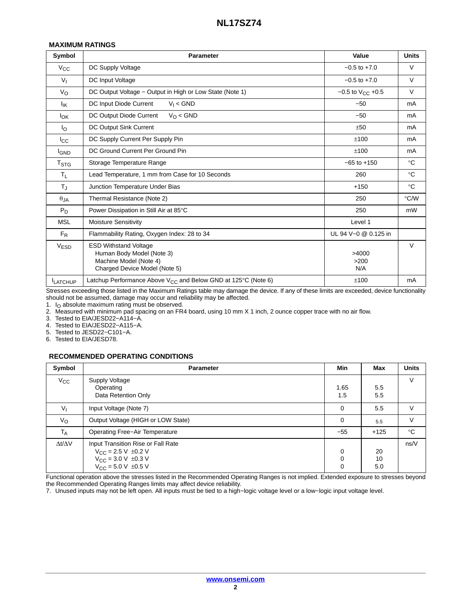#### **MAXIMUM RATINGS**

| Symbol                  | <b>Parameter</b>                                                                                                     | Value                   | <b>Units</b> |
|-------------------------|----------------------------------------------------------------------------------------------------------------------|-------------------------|--------------|
| $V_{CC}$                | DC Supply Voltage                                                                                                    | $-0.5$ to $+7.0$        | $\vee$       |
| $V_{I}$                 | DC Input Voltage                                                                                                     | $-0.5$ to $+7.0$        | $\vee$       |
| $V_{\rm O}$             | DC Output Voltage - Output in High or Low State (Note 1)                                                             | $-0.5$ to $V_{CC}$ +0.5 | $\vee$       |
| $I_{IK}$                | $V_1 <$ GND<br>DC Input Diode Current                                                                                | $-50$                   | mA           |
| Iок                     | DC Output Diode Current<br>$V_O <$ GND                                                                               | $-50$                   | mA           |
| $I_{\rm O}$             | DC Output Sink Current                                                                                               | ±50                     | mA           |
| Icc                     | DC Supply Current Per Supply Pin                                                                                     | ±100                    | mA           |
| <b>IGND</b>             | DC Ground Current Per Ground Pin                                                                                     | ±100                    | mA           |
| <b>T</b> <sub>STG</sub> | Storage Temperature Range                                                                                            | $-65$ to $+150$         | $^{\circ}C$  |
| $T_{L}$                 | Lead Temperature, 1 mm from Case for 10 Seconds                                                                      | 260                     | $^{\circ}C$  |
| $T_{\text{J}}$          | Junction Temperature Under Bias                                                                                      | $+150$                  | $^{\circ}C$  |
| $\theta$ JA             | Thermal Resistance (Note 2)                                                                                          | 250                     | °C/W         |
| $P_D$                   | Power Dissipation in Still Air at 85°C                                                                               | 250                     | mW           |
| <b>MSL</b>              | <b>Moisture Sensitivity</b>                                                                                          | Level 1                 |              |
| $F_R$                   | Flammability Rating, Oxygen Index: 28 to 34                                                                          | UL 94 V-0 @ 0.125 in    |              |
| V <sub>ESD</sub>        | <b>ESD Withstand Voltage</b><br>Human Body Model (Note 3)<br>Machine Model (Note 4)<br>Charged Device Model (Note 5) | >4000<br>>200<br>N/A    | $\vee$       |
| <b>ILATCHUP</b>         | Latchup Performance Above $V_{CC}$ and Below GND at 125°C (Note 6)                                                   | ±100                    | mA           |

Stresses exceeding those listed in the Maximum Ratings table may damage the device. If any of these limits are exceeded, device functionality should not be assumed, damage may occur and reliability may be affected.

1. I<sub>O</sub> absolute maximum rating must be observed.<br>2. Measured with minimum pad spacing on an FR4 board, using 10 mm X 1 inch, 2 ounce copper trace with no air flow.

3. Tested to EIA/JESD22−A114−A.

4. Tested to EIA/JESD22−A115−A.

5. Tested to JESD22−C101−A.

6. Tested to EIA/JESD78.

#### **RECOMMENDED OPERATING CONDITIONS**

| Symbol              | <b>Parameter</b>                                                                                                                   | Min         | Max             | <b>Units</b> |
|---------------------|------------------------------------------------------------------------------------------------------------------------------------|-------------|-----------------|--------------|
| $V_{\rm CC}$        | Supply Voltage<br>Operating<br>Data Retention Only                                                                                 | 1.65<br>1.5 | 5.5<br>5.5      | V            |
| $V_{1}$             | Input Voltage (Note 7)                                                                                                             | 0           | 5.5             | $\vee$       |
| $V_{\rm O}$         | Output Voltage (HIGH or LOW State)                                                                                                 | 0           | 5.5             | V            |
| $T_A$               | Operating Free-Air Temperature                                                                                                     | $-55$       | $+125$          | $^{\circ}C$  |
| $\Delta t/\Delta V$ | Input Transition Rise or Fall Rate<br>$V_{CC}$ = 2.5 V $\pm$ 0.2 V<br>$V_{CC}$ = 3.0 V $\pm$ 0.3 V<br>$V_{CC}$ = 5.0 V $\pm$ 0.5 V | 0<br>0<br>0 | 20<br>10<br>5.0 | ns/V         |

Functional operation above the stresses listed in the Recommended Operating Ranges is not implied. Extended exposure to stresses beyond the Recommended Operating Ranges limits may affect device reliability.

7. Unused inputs may not be left open. All inputs must be tied to a high−logic voltage level or a low−logic input voltage level.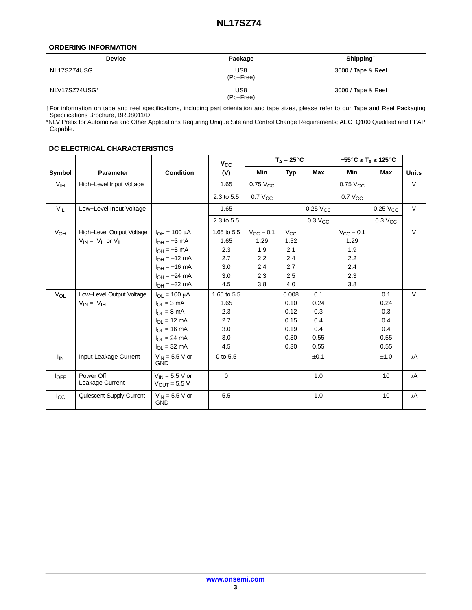#### <span id="page-2-0"></span>**ORDERING INFORMATION**

| <b>Device</b> | Package          | Shipping <sup>†</sup> |
|---------------|------------------|-----------------------|
| NL17SZ74USG   | US8<br>(Pb-Free) | 3000 / Tape & Reel    |
| NLV17SZ74USG* | US8<br>(Pb-Free) | 3000 / Tape & Reel    |

†For information on tape and reel specifications, including part orientation and tape sizes, please refer to our Tape and Reel Packaging Specifications Brochure, BRD8011/D.

\*NLV Prefix for Automotive and Other Applications Requiring Unique Site and Control Change Requirements; AEC−Q100 Qualified and PPAP Capable.

|                       |                                                                                        |                                                                                                                                                                                        |                                                                       |                                                           | $T_A = 25^{\circ}C$                                              |                                           | $-55^{\circ}$ C ≤ T <sub>A</sub> ≤ 125 $^{\circ}$ C       |                                           |                  |
|-----------------------|----------------------------------------------------------------------------------------|----------------------------------------------------------------------------------------------------------------------------------------------------------------------------------------|-----------------------------------------------------------------------|-----------------------------------------------------------|------------------------------------------------------------------|-------------------------------------------|-----------------------------------------------------------|-------------------------------------------|------------------|
| Symbol                | <b>Parameter</b>                                                                       | <b>Condition</b>                                                                                                                                                                       | $V_{\rm CC}$<br>(V)                                                   | Min                                                       | <b>Typ</b>                                                       | <b>Max</b>                                | Min                                                       | <b>Max</b>                                | <b>Units</b>     |
| $V_{\text{IH}}$       | High-Level Input Voltage                                                               |                                                                                                                                                                                        | 1.65                                                                  | $0.75$ $V_{CC}$                                           |                                                                  |                                           | $0.75$ $V_{CC}$                                           |                                           | $\vee$           |
|                       |                                                                                        |                                                                                                                                                                                        | 2.3 to 5.5                                                            | $0.7 V_{CC}$                                              |                                                                  |                                           | $0.7$ $V_{CC}$                                            |                                           |                  |
| $V_{IL}$              | Low-Level Input Voltage                                                                |                                                                                                                                                                                        | 1.65                                                                  |                                                           |                                                                  | $0.25$ $VCC$                              |                                                           | $0.25$ $VCC$                              | $\vee$           |
|                       |                                                                                        |                                                                                                                                                                                        | 2.3 to 5.5                                                            |                                                           |                                                                  | $0.3$ $V_{CC}$                            |                                                           | $0.3$ V <sub>CC</sub>                     |                  |
| $V_{OH}$<br>$V_{OL}$  | High-Level Output Voltage<br>$V_{IN} = V_{II}$ or $V_{II}$<br>Low-Level Output Voltage | $I_{OH} = 100 \mu A$<br>$I_{OH} = -3$ mA<br>$I_{OH} = -8$ mA<br>$I_{OH} = -12$ mA<br>$I_{OH} = -16$ mA<br>$I_{OH} = -24$ mA<br>$I_{OH} = -32 \text{ mA}$<br>$I_{\Omega I} = 100 \mu A$ | 1.65 to 5.5<br>1.65<br>2.3<br>2.7<br>3.0<br>3.0<br>4.5<br>1.65 to 5.5 | $V_{CC}$ – 0.1<br>1.29<br>1.9<br>2.2<br>2.4<br>2.3<br>3.8 | $V_{\rm CC}$<br>1.52<br>2.1<br>2.4<br>2.7<br>2.5<br>4.0<br>0.008 | 0.1                                       | $V_{CC}$ - 0.1<br>1.29<br>1.9<br>2.2<br>2.4<br>2.3<br>3.8 | 0.1                                       | $\vee$<br>$\vee$ |
|                       | $V_{IN} = V_{IH}$                                                                      | $I_{\Omega I} = 3 \text{ mA}$<br>$I_{OL} = 8 \text{ mA}$<br>$I_{\Omega I} = 12 \text{ mA}$<br>$I_{OL}$ = 16 mA<br>$I_{OL}$ = 24 mA<br>$I_{OL}$ = 32 mA                                 | 1.65<br>2.3<br>2.7<br>3.0<br>3.0<br>4.5                               |                                                           | 0.10<br>0.12<br>0.15<br>0.19<br>0.30<br>0.30                     | 0.24<br>0.3<br>0.4<br>0.4<br>0.55<br>0.55 |                                                           | 0.24<br>0.3<br>0.4<br>0.4<br>0.55<br>0.55 |                  |
| <b>I<sub>IN</sub></b> | Input Leakage Current                                                                  | $V_{IN}$ = 5.5 V or<br><b>GND</b>                                                                                                                                                      | 0 to 5.5                                                              |                                                           |                                                                  | ±0.1                                      |                                                           | ±1.0                                      | μA               |
| $I_{\text{OFF}}$      | Power Off<br>Leakage Current                                                           | $V_{IN}$ = 5.5 V or<br>$V_{OUT}$ = 5.5 V                                                                                                                                               | $\mathbf 0$                                                           |                                                           |                                                                  | 1.0                                       |                                                           | 10 <sup>10</sup>                          | μA               |
| $I_{\rm CC}$          | Quiescent Supply Current                                                               | $V_{IN}$ = 5.5 V or<br><b>GND</b>                                                                                                                                                      | 5.5                                                                   |                                                           |                                                                  | 1.0                                       |                                                           | 10                                        | μA               |

### **DC ELECTRICAL CHARACTERISTICS**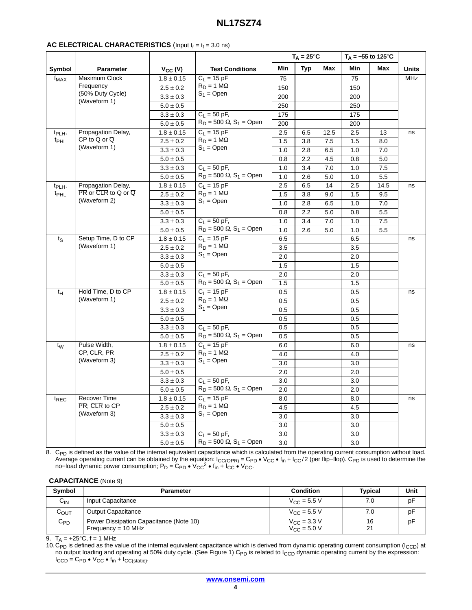# **NL17SZ74**

|                    |                                                                                       |                |                                            | $T_A = 25^{\circ}C$ |            |            |         | $T_A = -55$ to 125 °C |                      |
|--------------------|---------------------------------------------------------------------------------------|----------------|--------------------------------------------|---------------------|------------|------------|---------|-----------------------|----------------------|
| Symbol             | Parameter                                                                             | $V_{CC} (V)$   | <b>Test Conditions</b>                     | Min                 | <b>Typ</b> | <b>Max</b> | Min     | Max                   | <b>Units</b>         |
| $f_{MAX}$          | Maximum Clock                                                                         | $1.8 \pm 0.15$ | $C_L = 15 pF$                              | 75                  |            |            | 75      |                       | <b>MHz</b>           |
|                    | Frequency                                                                             | $2.5 \pm 0.2$  | $R_D = 1 M\Omega$                          | 150                 |            |            | 150     |                       |                      |
|                    | (50% Duty Cycle)                                                                      | $3.3 \pm 0.3$  | $S_1 =$ Open                               | 200                 |            |            | 200     |                       |                      |
|                    | (Waveform 1)                                                                          | $5.0\pm0.5$    |                                            | 250                 |            |            | 250     |                       |                      |
|                    |                                                                                       | $3.3\pm0.3$    | $C_1 = 50$ pF,                             | 175                 |            |            | 175     |                       |                      |
|                    |                                                                                       | $5.0 \pm 0.5$  | $R_D = 500 \Omega$ , S <sub>1</sub> = Open | 200                 |            |            | 200     |                       |                      |
| t <sub>PLH</sub> , | Propagation Delay,                                                                    | $1.8 \pm 0.15$ | $C_1 = 15$ pF                              | 2.5                 | 6.5        | 12.5       | 2.5     | 13                    | ns                   |
| t <sub>PHL</sub>   | $CP$ to Q or $\overline{Q}$                                                           | $2.5\pm0.2$    | $R_D = 1 M\Omega$                          | 1.5                 | 3.8        | 7.5        | 1.5     | 8.0                   |                      |
|                    | (Waveform 1)                                                                          | $3.3\pm0.3$    | $S_1 =$ Open                               | 1.0                 | 2.8        | 6.5        | 1.0     | 7.0                   |                      |
|                    |                                                                                       | $5.0\pm0.5$    |                                            | 0.8                 | 2.2        | 4.5        | 0.8     | 5.0                   |                      |
|                    |                                                                                       | $3.3\pm0.3$    | $C_L = 50$ pF,                             | 1.0                 | 3.4        | 7.0        | 1.0     | 7.5                   |                      |
|                    |                                                                                       | $5.0\pm0.5$    | $R_D = 500 \Omega$ , S <sub>1</sub> = Open | 1.0                 | 2.6        | 5.0        | 1.0     | $5.5\,$               |                      |
| t <sub>PLH</sub> , | Propagation Delay,                                                                    | $1.8 \pm 0.15$ | $C_L = 15 pF$                              | 2.5                 | 6.5        | 14         | 2.5     | 14.5                  | ns                   |
| t <sub>PHL</sub>   | $\overline{\mathsf{PR}}$ or $\overline{\mathsf{CLR}}$ to Q or $\overline{\mathsf{Q}}$ | $2.5\pm0.2$    | $R_D = 1 M\Omega$                          | 1.5                 | 3.8        | 9.0        | 1.5     | 9.5                   | ns<br>ns<br>ns<br>ns |
|                    | (Waveform 2)                                                                          | $3.3\pm0.3$    | $S_1 =$ Open                               | 1.0                 | 2.8        | 6.5        | 1.0     | 7.0                   |                      |
|                    |                                                                                       | $5.0\pm0.5$    |                                            | 0.8                 | 2.2        | 5.0        | 0.8     | 5.5                   |                      |
|                    |                                                                                       | $3.3\pm0.3$    | $C_1 = 50$ pF,                             | 1.0                 | 3.4        | 7.0        | 1.0     | 7.5                   |                      |
|                    |                                                                                       | $5.0 \pm 0.5$  | $R_D = 500 \Omega$ , S <sub>1</sub> = Open | 1.0                 | 2.6        | 5.0        | 1.0     | 5.5                   |                      |
| $t_{\rm S}$        | Setup Time, D to CP                                                                   | $1.8\pm0.15$   | $C_1 = 15 pF$                              | 6.5                 |            |            | 6.5     |                       |                      |
|                    | (Waveform 1)                                                                          | $2.5\pm0.2$    | $R_D = 1 M\Omega$                          | 3.5                 |            |            | 3.5     |                       |                      |
|                    |                                                                                       | $3.3 \pm 0.3$  | $S_1 =$ Open                               | 2.0                 |            |            | 2.0     |                       |                      |
|                    |                                                                                       | $5.0\pm0.5$    |                                            | 1.5                 |            |            | 1.5     |                       |                      |
|                    |                                                                                       | $3.3\pm0.3$    | $C_L = 50$ pF,                             | 2.0                 |            |            | 2.0     |                       |                      |
|                    |                                                                                       | $5.0\pm0.5$    | $R_D = 500 \Omega$ , S <sub>1</sub> = Open | 1.5                 |            |            | 1.5     |                       |                      |
| tΗ                 | Hold Time, D to CP                                                                    | $1.8 \pm 0.15$ | $C_L = 15 pF$                              | 0.5                 |            |            | 0.5     |                       |                      |
|                    | (Waveform 1)                                                                          | $2.5\pm0.2$    | $R_D = 1 M\Omega$                          | 0.5                 |            |            | 0.5     |                       |                      |
|                    |                                                                                       | $3.3\pm0.3$    | $S_1 =$ Open                               | 0.5                 |            |            | 0.5     |                       |                      |
|                    |                                                                                       | $5.0 \pm 0.5$  |                                            | 0.5                 |            |            | 0.5     |                       |                      |
|                    |                                                                                       | $3.3\pm0.3$    | $C_L = 50 pF,$                             | 0.5                 |            |            | 0.5     |                       |                      |
|                    |                                                                                       | $5.0\pm0.5$    | $R_D = 500 \Omega$ , S <sub>1</sub> = Open | 0.5                 |            |            | 0.5     |                       |                      |
| $t_{\mathsf{W}}$   | Pulse Width,                                                                          | $1.8\pm0.15$   | $C_L = 15$ pF                              | 6.0                 |            |            | 6.0     |                       |                      |
|                    | CP, CLR, PR                                                                           | $2.5\pm0.2$    | $R_D = 1 M\Omega$                          | 4.0                 |            |            | 4.0     |                       |                      |
|                    | (Waveform 3)                                                                          | $3.3\pm0.3$    | $S_1 =$ Open                               | 3.0                 |            |            | 3.0     |                       |                      |
|                    |                                                                                       | $5.0\pm0.5$    |                                            | 2.0                 |            |            | 2.0     |                       |                      |
|                    |                                                                                       | $3.3\pm0.3$    | $C_L = 50$ pF,                             | 3.0                 |            |            | 3.0     |                       |                      |
|                    |                                                                                       | $5.0 \pm 0.5$  | $R_D = 500 \Omega$ , S <sub>1</sub> = Open | 2.0                 |            |            | 2.0     |                       |                      |
| $t_{REC}$          | Recover Time                                                                          | $1.8 \pm 0.15$ | $C_L = 15 pF$                              | 8.0                 |            |            | 8.0     |                       |                      |
|                    | PR; CLR to CP                                                                         | $2.5 \pm 0.2$  | $R_D = 1 M\Omega$                          | 4.5                 |            |            | 4.5     |                       |                      |
|                    | (Waveform 3)                                                                          | $3.3\pm0.3$    | $S_1 =$ Open                               | 3.0                 |            |            | 3.0     |                       |                      |
|                    |                                                                                       | $5.0\pm0.5$    |                                            | 3.0                 |            |            | 3.0     |                       |                      |
|                    |                                                                                       | $3.3\pm0.3$    | $C_L = 50 pF,$                             | 3.0                 |            |            | $3.0\,$ |                       |                      |
|                    |                                                                                       | $5.0 \pm 0.5$  | $R_D = 500 \Omega$ , S <sub>1</sub> = Open | 3.0                 |            |            | 3.0     |                       |                      |

 $_{\sf PD}$  is defined as the value of the internal equivalent capacitance which is calculated from the operating current consumption without load. Average operating current can be obtained by the equation:  $I_{CC(OPR)} = C_{PD} \cdot V_{CC} \cdot f_{in} + I_{CC}/2$  (per flip–flop). C<sub>PD</sub> is used to determine the no–load dynamic power consumption; P<sub>D</sub> = C<sub>PD</sub>  $\cdot$  V<sub>CC</sub><sup>2</sup>  $\cdot$   $f_{in} + I_{CC} \cdot$ 

#### **CAPACITANCE** (Note 9)

| <b>Symbol</b> | <b>Parameter</b>                                                | <b>Condition</b>                                        | <b>Typical</b> | Unit |
|---------------|-----------------------------------------------------------------|---------------------------------------------------------|----------------|------|
| $C_{IN}$      | Input Capacitance                                               | $V_{C}$ = 5.5 V                                         | 7.0            | pF   |
| Соит          | <b>Output Capacitance</b>                                       | $V_{C}$ = 5.5 V                                         | 7.0            | pF   |
| $C_{PD}$      | Power Dissipation Capacitance (Note 10)<br>$Frequency = 10 MHz$ | $V_{\text{CC}} = 3.3 \text{ V}$<br>$V_{\rm CC} = 5.0 V$ | 16<br>21       | pF   |

9. T<sub>A</sub> = +25°C, f = 1 MHz

10. C<sub>PD</sub> is defined as the value of the internal equivalent capacitance which is derived from dynamic operating current consumption (I<sub>CCD</sub>) at no output loading and operating at 50% duty cycle. (See Figure [1](#page-4-0)) C<sub>PD</sub> is related to I<sub>CCD</sub> dynamic operating current by the expression:  $I_{CCD} = C_{PD} \cdot V_{CC} \cdot f_{in} + I_{CC(static)}$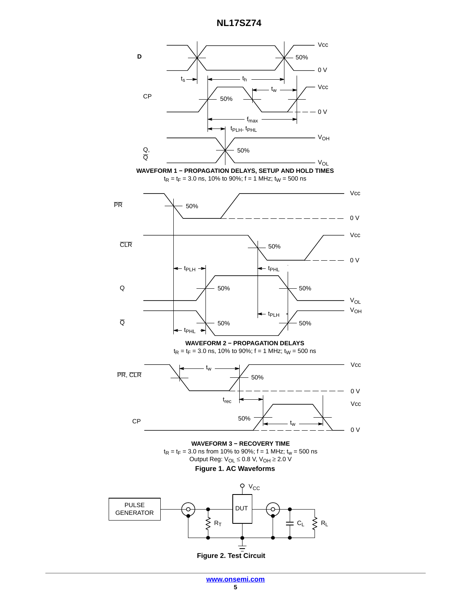**NL17SZ74**

<span id="page-4-0"></span>

**Figure 2. Test Circuit**